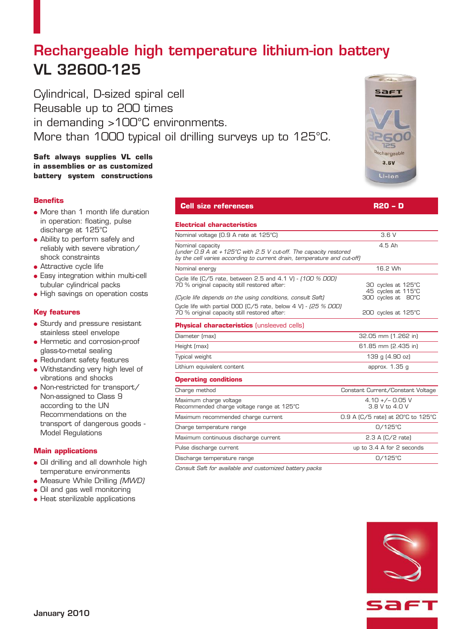# Rechargeable high temperature lithium-ion battery VL 32600-125

Cylindrical, D-sized spiral cell Reusable up to 200 times in demanding >100°C environments. More than 1000 typical oil drilling surveys up to 125°C.

# **Saft always supplies VL cells in assemblies or as customized battery system constructions**

# **Benefits**

- More than 1 month life duration in operation: floating, pulse discharge at 125°C
- Ability to perform safely and reliably with severe vibration/ shock constraints
- **Attractive cycle life**
- **.** Easy integration within multi-cell tubular cylindrical packs
- High savings on operation costs

# **Key features**

- Sturdy and pressure resistant stainless steel envelope
- **e** Hermetic and corrosion-proof glass-to-metal sealing
- $\bullet$  Redundant safety features
- Withstanding very high level of vibrations and shocks
- Non-restricted for transport/ Non-assigned to Class 9 according to the UN Recommendations on the transport of dangerous goods - Model Regulations

# **Main applications**

- Oil drilling and all downhole high temperature environments
- Measure While Drilling (MWD)
- Oil and gas well monitoring
- **Heat sterilizable applications**

| <b>Cell size references</b>                                                                                                                                                  | R20 - D                                                        |
|------------------------------------------------------------------------------------------------------------------------------------------------------------------------------|----------------------------------------------------------------|
| <b>Electrical characteristics</b>                                                                                                                                            |                                                                |
| Nominal voltage (0.9 A rate at 125°C)                                                                                                                                        | 3.6V                                                           |
| Nominal capacity<br>(under $0.9$ A at $+125^{\circ}$ C with 2.5 V cut-off. The capacity restored<br>by the cell varies according to current drain, temperature and cut-off)  | $4.5$ Ah                                                       |
| Nominal energy                                                                                                                                                               | 16.2 Wh                                                        |
| Cycle life $(C/5$ rate, between 2.5 and 4.1 V) - $(100\%$ DOD)<br>70 % original capacity still restored after:<br>(Cycle life depends on the using conditions, consult Saft) | 30 cycles at 125°C<br>45 cycles at 115°C<br>300 cycles at 80°C |
| Cycle life with partial DOD (C/5 rate, below 4 V) - (25 % DOD)<br>70 % original capacity still restored after:                                                               | 200 cycles at 125°C                                            |
| <b>Physical characteristics</b> (unsleeved cells)                                                                                                                            |                                                                |
| Diameter (max)                                                                                                                                                               | 32.05 mm (1.262 in)                                            |
| Height (max)                                                                                                                                                                 | 61.85 mm (2.435 in)                                            |
| Typical weight                                                                                                                                                               | 139 g (4.90 oz)                                                |
| Lithium equivalent content                                                                                                                                                   | approx. 1.35 g                                                 |
| <b>Operating conditions</b>                                                                                                                                                  |                                                                |
| Charge method                                                                                                                                                                | Constant Current/Constant Voltage                              |
| Maximum charge voltage<br>Recommended charge voltage range at 125°C                                                                                                          | $4.10 +/- 0.05$ V<br>3.8 V to 4.0 V                            |
| Maximum recommended charge current                                                                                                                                           | 0.9 A (C/5 rate) at 20°C to 125°C                              |
| Charge temperature range                                                                                                                                                     | $O/125^{\circ}$ C                                              |
| Maximum continuous discharge current                                                                                                                                         | $2.3$ A $(C/2$ rate)                                           |
| Pulse discharge current                                                                                                                                                      | up to 3.4 A for 2 seconds                                      |
| Discharge temperature range                                                                                                                                                  | $O/125^{\circ}C$                                               |

Consult Saft for available and customized battery packs